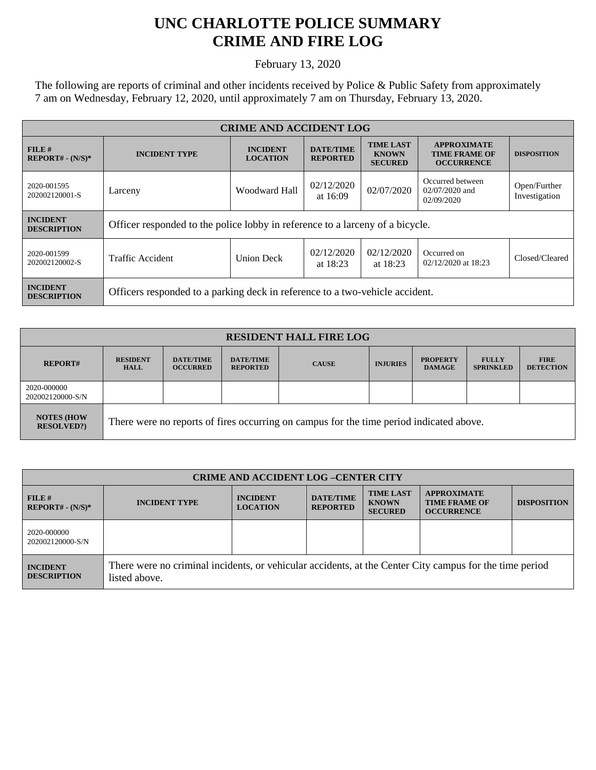## **UNC CHARLOTTE POLICE SUMMARY CRIME AND FIRE LOG**

February 13, 2020

The following are reports of criminal and other incidents received by Police & Public Safety from approximately 7 am on Wednesday, February 12, 2020, until approximately 7 am on Thursday, February 13, 2020.

| <b>CRIME AND ACCIDENT LOG</b>         |                                                                               |                                    |                                     |                                                    |                                                                 |                               |
|---------------------------------------|-------------------------------------------------------------------------------|------------------------------------|-------------------------------------|----------------------------------------------------|-----------------------------------------------------------------|-------------------------------|
| $FILE$ #<br>$REPORT# - (N/S)*$        | <b>INCIDENT TYPE</b>                                                          | <b>INCIDENT</b><br><b>LOCATION</b> | <b>DATE/TIME</b><br><b>REPORTED</b> | <b>TIME LAST</b><br><b>KNOWN</b><br><b>SECURED</b> | <b>APPROXIMATE</b><br><b>TIME FRAME OF</b><br><b>OCCURRENCE</b> | <b>DISPOSITION</b>            |
| 2020-001595<br>202002120001-S         | Larceny                                                                       | Woodward Hall                      | 02/12/2020<br>at 16:09              | 02/07/2020                                         | Occurred between<br>$02/07/2020$ and<br>02/09/2020              | Open/Further<br>Investigation |
| <b>INCIDENT</b><br><b>DESCRIPTION</b> | Officer responded to the police lobby in reference to a larceny of a bicycle. |                                    |                                     |                                                    |                                                                 |                               |
| 2020-001599<br>202002120002-S         | Traffic Accident                                                              | <b>Union Deck</b>                  | 02/12/2020<br>at $18:23$            | 02/12/2020<br>at $18:23$                           | Occurred on<br>02/12/2020 at 18:23                              | Closed/Cleared                |
| <b>INCIDENT</b><br><b>DESCRIPTION</b> | Officers responded to a parking deck in reference to a two-vehicle accident.  |                                    |                                     |                                                    |                                                                 |                               |

| <b>RESIDENT HALL FIRE LOG</b>         |                                                                                         |                                     |                                     |              |                 |                                  |                                  |                                 |
|---------------------------------------|-----------------------------------------------------------------------------------------|-------------------------------------|-------------------------------------|--------------|-----------------|----------------------------------|----------------------------------|---------------------------------|
| <b>REPORT#</b>                        | <b>RESIDENT</b><br><b>HALL</b>                                                          | <b>DATE/TIME</b><br><b>OCCURRED</b> | <b>DATE/TIME</b><br><b>REPORTED</b> | <b>CAUSE</b> | <b>INJURIES</b> | <b>PROPERTY</b><br><b>DAMAGE</b> | <b>FULLY</b><br><b>SPRINKLED</b> | <b>FIRE</b><br><b>DETECTION</b> |
| 2020-000000<br>202002120000-S/N       |                                                                                         |                                     |                                     |              |                 |                                  |                                  |                                 |
| <b>NOTES (HOW</b><br><b>RESOLVED?</b> | There were no reports of fires occurring on campus for the time period indicated above. |                                     |                                     |              |                 |                                  |                                  |                                 |

| <b>CRIME AND ACCIDENT LOG-CENTER CITY</b> |                                                                                                                          |                                    |                                     |                                                    |                                                                 |                    |
|-------------------------------------------|--------------------------------------------------------------------------------------------------------------------------|------------------------------------|-------------------------------------|----------------------------------------------------|-----------------------------------------------------------------|--------------------|
| FILE#<br>$REPORT# - (N/S)*$               | <b>INCIDENT TYPE</b>                                                                                                     | <b>INCIDENT</b><br><b>LOCATION</b> | <b>DATE/TIME</b><br><b>REPORTED</b> | <b>TIME LAST</b><br><b>KNOWN</b><br><b>SECURED</b> | <b>APPROXIMATE</b><br><b>TIME FRAME OF</b><br><b>OCCURRENCE</b> | <b>DISPOSITION</b> |
| 2020-000000<br>202002120000-S/N           |                                                                                                                          |                                    |                                     |                                                    |                                                                 |                    |
| <b>INCIDENT</b><br><b>DESCRIPTION</b>     | There were no criminal incidents, or vehicular accidents, at the Center City campus for the time period<br>listed above. |                                    |                                     |                                                    |                                                                 |                    |